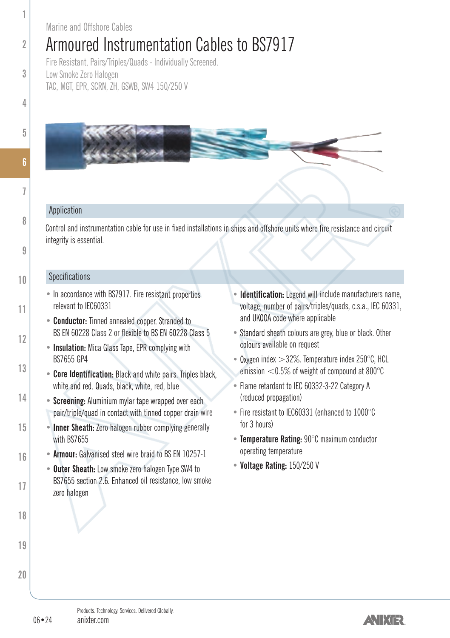#### Marine and Offshore Cables

## Armoured Instrumentation Cables to BS7917

Fire Resistant, Pairs/Triples/Quads - Individually Screened. Low Smoke Zero Halogen TAC, MGT, EPR, SCRN, ZH, GSWB, SW4 150/250 V

### Application

Control and instrumentation cable for use in fixed installations in ships and offshore units where fire resistance and circuit integrity is essential.

#### **Specifications**

- In accordance with BS7917. Fire resistant properties relevant to IEC60331
- **Conductor:** Tinned annealed copper. Stranded to BS EN 60228 Class 2 or flexible to BS EN 60228 Class 5
- **Insulation:** Mica Glass Tape, EPR complying with BS7655 GP4
- **Core Identification:** Black and white pairs. Triples black, white and red. Quads, black, white, red, blue
- **Screening:** Aluminium mylar tape wrapped over each pair/triple/quad in contact with tinned copper drain wire
- **Inner Sheath:** Zero halogen rubber complying generally with **BS7655**
- **Armour:** Galvanised steel wire braid to BS EN 10257-1
- **Outer Sheath:** Low smoke zero halogen Type SW4 to BS7655 section 2.6. Enhanced oil resistance, low smoke zero halogen
- **Identification:** Legend will include manufacturers name, voltage, number of pairs/triples/quads, c.s.a., IEC 60331, and UKOOA code where applicable
- Standard sheath colours are grey, blue or black. Other colours available on request
- Oxygen index  $>32\%$  Temperature index 250 $^{\circ}$ C, HCL emission  $<$  0.5% of weight of compound at 800 $^{\circ}$ C
- Flame retardant to IEC 60332-3-22 Category A (reduced propagation)
- Fire resistant to IEC60331 (enhanced to 1000°C for 3 hours)
- **Temperature Rating:** 90°C maximum conductor operating temperature
- **Voltage Rating:** 150/250 V

**1**

**2**

**3**

**5**

**7**

**8**

**9**

**10**

**11**

**12**

**13**

**14**

**15**

**16**

**17**

**18**

**19**

**20**

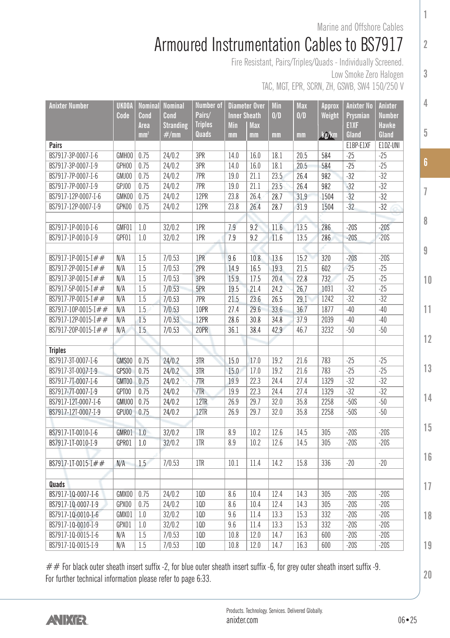Marine and Offshore Cables

**1**

**2**

**3**

**4**

**5**

**6**

**7**

**8**

**9**

**10**

**11**

**12**

**13**

**14**

**15**

**16**

**17**

**18**

**19**

**20**

## Armoured Instrumentation Cables to BS7917

Fire Resistant, Pairs/Triples/Quads - Individually Screened.

Low Smoke Zero Halogen TAC, MGT, EPR, SCRN, ZH, GSWB, SW4 150/250 V

| <b>Anixter Number</b> | <b>UKOOA</b> | Nominal         | <b>Nominal</b> | Number of               | Diameter Over<br><b>Inner Sheath</b> |            | Min<br><b>Max</b> |            | Approx<br>Weight | <b>Anixter No</b>  | Anixter           |
|-----------------------|--------------|-----------------|----------------|-------------------------|--------------------------------------|------------|-------------------|------------|------------------|--------------------|-------------------|
|                       | Code         | Cond            | Cond           | Pairs/                  |                                      |            |                   | 0/D<br>0/D |                  | Prysmian           | <b>Number</b>     |
|                       |              | Area            | Stranding      | <b>Triples</b><br>Quads | Min                                  | <b>Max</b> |                   |            |                  | E1XF               | <b>Hawke</b>      |
| <b>Pairs</b>          |              | mm <sup>2</sup> | $\#/\text{mm}$ |                         | mm                                   | mm         | mm                | mm         | kg/km            | Gland<br>E1BP-E1XF | Gland<br>E1DZ-UNI |
| BS7917-3P-0007-I-6    | GMH00        | 0.75            | 24/0.2         | 3PR                     | 14.0                                 | 16.0       | 18.1              | 20.5       | 584              | $-25$              | $-25$             |
|                       | GPH00        | 0.75            | 24/0.2         | 3PR                     | 14.0                                 |            | 18.1              | 20.5       |                  | $-25$              | $-25$             |
| BS7917-3P-0007-I-9    |              |                 |                |                         |                                      | 16.0       |                   |            | 584              |                    |                   |
| BS7917-7P-0007-I-6    | GMJ00        | 0.75            | 24/0.2         | 7PR                     | 19.0                                 | 21.1       | 23.5              | 26.4       | 982              | $-32$              | $-32$<br>$-32$    |
| BS7917-7P-0007-I-9    | GPJ00        | 0.75            | 24/0.2         | 7PR                     | 19.0                                 | 21.1       | 23.5              | 26.4       | 982              | $-32$              |                   |
| BS7917-12P-0007-I-6   | GMK00        | 0.75            | 24/0.2         | 12PR                    | 23.8                                 | 26.4       | 28.7              | 31.9       | 1504             | $-32$              | $-32$             |
| BS7917-12P-0007-I-9   | GPK00        | 0.75            | 24/0.2         | 12PR                    | 23.8                                 | 26.4       | 28.7              | 31.9       | 1504             | $-32$              | $-32$             |
|                       |              |                 |                |                         |                                      |            |                   |            |                  |                    |                   |
| BS7917-1P-0010-I-6    | GMF01        | 1.0             | 32/0.2         | 1PR                     | 7.9                                  | 9.2        | 11.6              | 13.5       | 286              | $-20S$             | $-20S$            |
| BS7917-1P-0010-I-9    | GPF01        | 1.0             | 32/0.2         | 1PR                     | 7.9                                  | 9.2        | 11.6              | 13.5       | 286              | $-20S$             | $-20S$            |
|                       |              |                 |                |                         |                                      |            |                   |            |                  |                    |                   |
| BS7917-1P-0015-I##    | N/A          | 1.5             | 7/0.53         | 1PR                     | 9.6                                  | 10.8       | 13.6              | 15.2       | 320              | $-20S$             | $-20S$            |
| BS7917-2P-0015-I##    | N/A          | 1.5             | 7/0.53         | 2PR                     | 14.9                                 | 16.5       | 19.3              | 21.5       | 602              | $-25$              | $-25$             |
| BS7917-3P-0015-I##    | N/A          | 1.5             | 7/0.53         | 3PR                     | 15.9                                 | 17.5       | 20.4              | 22.8       | 732              | $-25$              | $-25$             |
| BS7917-5P-0015-I##    | N/A          | 1.5             | 7/0.53         | 5PR                     | 19.5                                 | 21.4       | 24.2              | 26.7       | 1031             | $-32$              | $-25$             |
| BS7917-7P-0015-I##    | N/A          | 1.5             | 7/0.53         | 7PR                     | 21.5                                 | 23.6       | 26.5              | 29.1       | 1242             | $-32$              | $-32$             |
| BS7917-10P-0015-I##   | N/A          | 1.5             | 7/0.53         | 10PR                    | 27.4                                 | 29.6       | 33.6              | 36.7       | 1877             | $-40$              | $-40$             |
| BS7917-12P-0015-I##   | N/A          | 1.5             | 7/0.53         | 12PR                    | 28.6                                 | 30.8       | 34.8              | 37.9       | 2039             | $-40$              | $-40$             |
| BS7917-20P-0015-I##   | N/A          | 1.5             | 7/0.53         | 20PR                    | 36.1                                 | 38.4       | 42.9              | 46.7       | 3232             | $-50$              | $-50$             |
|                       |              |                 |                |                         |                                      |            |                   |            |                  |                    |                   |
| <b>Triples</b>        |              |                 |                |                         |                                      |            |                   |            |                  |                    |                   |
| BS7917-3T-0007-I-6    | GMS00        | 0.75            | 24/0.2         | 3TR                     | 15.0                                 | 17.0       | 19.2              | 21.6       | 783              | $-25$              | $-25$             |
| BS7917-3T-0007-I-9    | GPS00        | 0.75            | 24/0.2         | 3TR                     | 15.0                                 | 17.0       | 19.2              | 21.6       | 783              | $-25$              | $-25$             |
| BS7917-7T-0007-I-6    | GMT00        | 0.75            | 24/0.2         | 7TR                     | 19.9                                 | 22.3       | 24.4              | 27.4       | 1329             | $-32$              | $-32$             |
| BS7917-7T-0007-I-9    | GPT00        | 0.75            | 24/0.2         | 7TR                     | 19.9                                 | 22.3       | 24.4              | 27.4       | 1329             | $-32$              | $-32$             |
| BS7917-12T-0007-I-6   | GMU00        | 0.75            | 24/0.2         | 12TR                    | 26.9                                 | 29.7       | 32.0              | 35.8       | 2258             | $-50S$             | $-50$             |
| BS7917-12T-0007-I-9   | GPU00        | 0.75            | 24/0.2         | 12TR                    | 26.9                                 | 29.7       | 32.0              | 35.8       | 2258             | $-50S$             | $-50$             |
|                       |              |                 |                |                         |                                      |            |                   |            |                  |                    |                   |
| BS7917-1T-0010-I-6    | GMR01        | 1.0             | 32/0.2         | 1TR                     | 8.9                                  | 10.2       | 12.6              | 14.5       | 305              | $-20S$             | $-20S$            |
| BS7917-1T-0010-I-9    | GPR01        | 1.0             | 32/0.2         | 1TR                     | 8.9                                  | 10.2       | 12.6              | 14.5       | 305              | $-20S$             | $-20S$            |
|                       |              |                 |                |                         |                                      |            |                   |            |                  |                    |                   |
| BS7917-1T-0015-I##    | N/A          | 1.5             | 7/0.53         | 1TR                     | 10.1                                 | 11.4       | 14.2              | 15.8       | 336              | $-20$              | $-20$             |
|                       |              |                 |                |                         |                                      |            |                   |            |                  |                    |                   |
| Quads                 |              |                 |                |                         |                                      |            |                   |            |                  |                    |                   |
| BS7917-1Q-0007-I-6    | GMX00        | 0.75            | 24/0.2         | 1QD                     | 8.6                                  | 10.4       | 12.4              | 14.3       | 305              | $-20S$             | $-20S$            |
| BS7917-10-0007-I-9    | GPX00        | 0.75            | 24/0.2         | 10 <sub>D</sub>         | 8.6                                  | 10.4       | 12.4              | 14.3       | 305              | $-20S$             | $-20S$            |
| BS7917-1Q-0010-I-6    | GMX01        | 1.0             | 32/0.2         | 1QD                     | 9.6                                  | 11.4       | 13.3              | 15.3       | 332              | $-20S$             | $-20S$            |
| BS7917-10-0010-I-9    | GPX01        | 1.0             | 32/0.2         | 1QD                     | 9.6                                  | 11.4       | 13.3              | 15.3       | 332              | $-20S$             | $-20S$            |
| BS7917-1Q-0015-I-6    | N/A          | 1.5             | 7/0.53         | <b>1QD</b>              | 10.8                                 | 12.0       | 14.7              | 16.3       | 600              | $-20S$             | $-20S$            |
| BS7917-1Q-0015-I-9    | N/A          | 1.5             | 7/0.53         | 10D                     | 10.8                                 | 12.0       | 14.7              | 16.3       | 600              | $-20S$             | $-20S$            |
|                       |              |                 |                |                         |                                      |            |                   |            |                  |                    |                   |

 $#$  For black outer sheath insert suffix -2, for blue outer sheath insert suffix -6, for grey outer sheath insert suffix -9. For further technical information please refer to page 6:33.

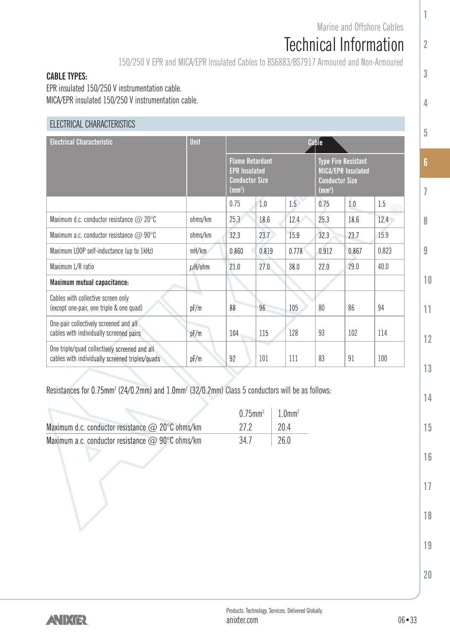**1**

**2**

**3**

**4**

**5**

**6**

**7**

**8**

**9**

**10**

**11**

**12**

**13**

**14**

# Technical Information

150/250 V EPR and MICA/EPR Insulated Cables to BS6883/BS7917 Armoured and Non-Armoured

#### **CABLE TYPES:**

EPR insulated 150/250 V instrumentation cable. MICA/EPR insulated 150/250 V instrumentation cable.

### ELECTRICAL CHARACTERISTICS

| <b>Electrical Characteristic</b>                                                                 | <b>Unit</b> | Cable                                                                                  |       |       |                                                                                              |       |       |  |
|--------------------------------------------------------------------------------------------------|-------------|----------------------------------------------------------------------------------------|-------|-------|----------------------------------------------------------------------------------------------|-------|-------|--|
|                                                                                                  |             | <b>Flame Retardant</b><br><b>EPR Insulated</b><br>Conductor Size<br>(mm <sup>2</sup> ) |       |       | <b>Type Fire Resistant</b><br>MICA/EPR Insulated<br><b>Conductor Size</b><br>$\text{(mm}^2)$ |       |       |  |
|                                                                                                  |             | 0.75                                                                                   | 1.0   | 1.5   | 0.75                                                                                         | 1.0   | 1.5   |  |
| Maximum d.c. conductor resistance $\textcircled{2}$ 20 $\textcircled{c}$                         | ohms/km     | 25.3                                                                                   | 18.6  | 12.4  | 25.3                                                                                         | 18.6  | 12.4  |  |
| Maximum a.c. conductor resistance $\textcircled{a}$ 90°C                                         | ohms/km     | 32.3                                                                                   | 23.7  | 15.9  | 32.3                                                                                         | 23.7  | 15.9  |  |
| Maximum LOOP self-inductance (up to 1kHz)                                                        | mH/km       | 0.860                                                                                  | 0.819 | 0.778 | 0.912                                                                                        | 0.867 | 0.823 |  |
| Maximum L/R ratio                                                                                | $\mu$ H/ohm | 21.0                                                                                   | 27.0  | 38.0  | 22.0                                                                                         | 79.0  | 40.0  |  |
| Maximum mutual capacitance:                                                                      |             |                                                                                        |       |       |                                                                                              |       |       |  |
| Cables with collective screen only<br>(except one-pair, one triple & one quad)                   | pF/m        | 88                                                                                     | 96    | 105   | 80                                                                                           | 86    | 94    |  |
| One-pair collectively screened and all<br>cables with individually screened pairs                | pF/m        | 104                                                                                    | 115   | 128   | 93                                                                                           | 102   | 114   |  |
| One triple/quad collectively screened and all<br>cables with individually screened triples/quads | pF/m        | 92                                                                                     | 101   | 111   | 83                                                                                           | 91    | 100   |  |

Resistances for 0.75mm<sup>2</sup> (24/0.2mm) and 1.0mm<sup>2</sup> (32/0.2mm) Class 5 conductors will be as follows:

|                                                          | $0.75$ mm <sup>2</sup>   1.0mm <sup>2</sup> |              |
|----------------------------------------------------------|---------------------------------------------|--------------|
| Maximum d.c. conductor resistance $\oslash$ 20°C ohms/km | 27.2                                        | 1704         |
| Maximum a.c. conductor resistance $\omega$ 90°C ohms/km  | 34.7                                        | $\vert$ 26.0 |

**15 16**

- **17**
- **18**

**19**

**20**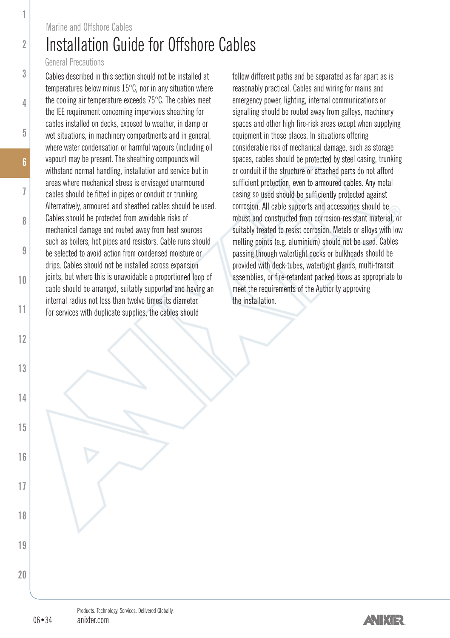### Installation Guide for Offshore Cables Marine and Offshore Cables

#### General Precautions

**1**

**2**

**3**

**4**

**5**

**7**

**8**

**9**

**10**

**11**

**12**

**13**

**14**

**15**

**16**

**17**

**18**

**19**

**20**

Cables described in this section should not be installed at temperatures below minus 15°C, nor in any situation where the cooling air temperature exceeds 75°C. The cables meet the IEE requirement concerning impervious sheathing for cables installed on decks, exposed to weather, in damp or wet situations, in machinery compartments and in general, where water condensation or harmful vapours (including oil vapour) may be present. The sheathing compounds will withstand normal handling, installation and service but in areas where mechanical stress is envisaged unarmoured cables should be fitted in pipes or conduit or trunking. Alternatively, armoured and sheathed cables should be used. Cables should be protected from avoidable risks of mechanical damage and routed away from heat sources such as boilers, hot pipes and resistors. Cable runs should be selected to avoid action from condensed moisture or drips. Cables should not be installed across expansion joints, but where this is unavoidable a proportioned loop of cable should be arranged, suitably supported and having an internal radius not less than twelve times its diameter. For services with duplicate supplies, the cables should

follow different paths and be separated as far apart as is reasonably practical. Cables and wiring for mains and emergency power, lighting, internal communications or signalling should be routed away from galleys, machinery spaces and other high fire-risk areas except when supplying equipment in those places. In situations offering considerable risk of mechanical damage, such as storage spaces, cables should be protected by steel casing, trunking or conduit if the structure or attached parts do not afford sufficient protection, even to armoured cables. Any metal casing so used should be sufficiently protected against corrosion. All cable supports and accessories should be robust and constructed from corrosion-resistant material, or suitably treated to resist corrosion. Metals or alloys with low melting points (e.g. aluminium) should not be used. Cables passing through watertight decks or bulkheads should be provided with deck-tubes, watertight glands, multi-transit assemblies, or fire-retardant packed boxes as appropriate to meet the requirements of the Authority approving the installation.